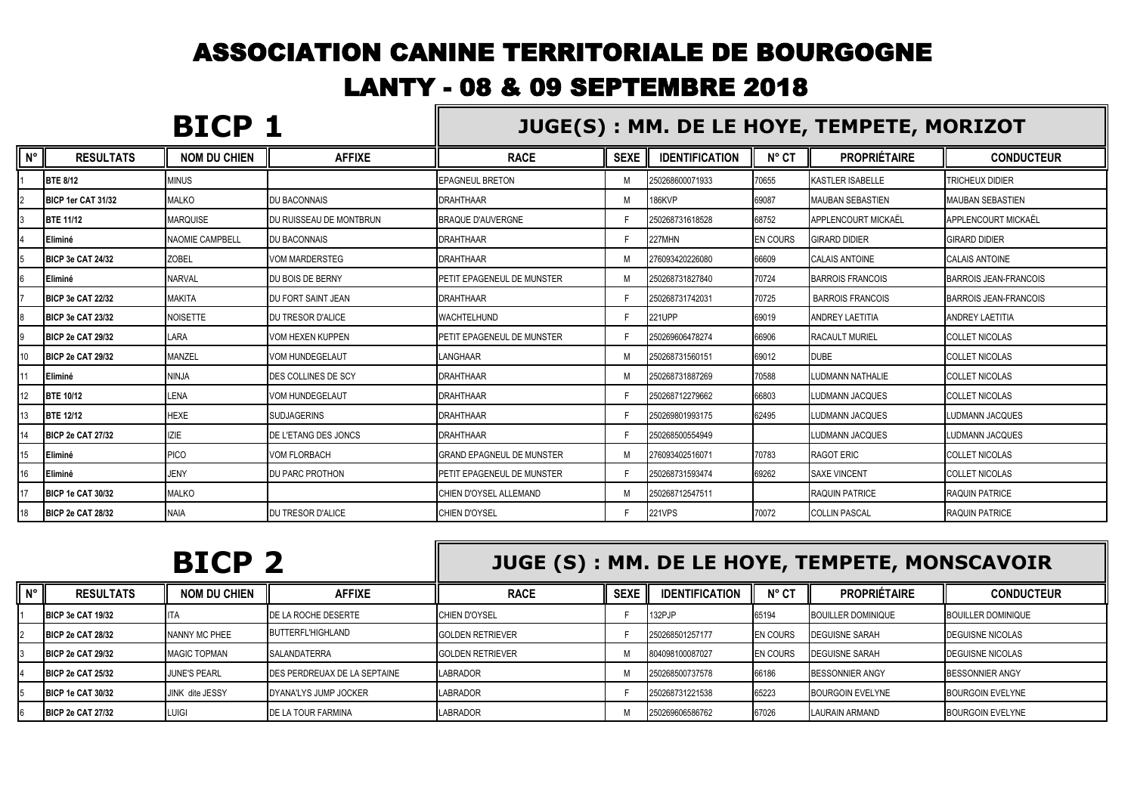## ASSOCIATION CANINE TERRITORIALE DE BOURGOGNE LANTY - 08 & 09 SEPTEMBRE 2018  $\blacksquare$

|             |                           | BICP 1              |                           | JUGE(S): MM. DE LE HOYE, TEMPETE, MORIZOT |             |                       |                 |                         |                              |  |
|-------------|---------------------------|---------------------|---------------------------|-------------------------------------------|-------------|-----------------------|-----------------|-------------------------|------------------------------|--|
| $N^{\circ}$ | <b>RESULTATS</b>          | <b>NOM DU CHIEN</b> | <b>AFFIXE</b>             | <b>RACE</b>                               | <b>SEXE</b> | <b>IDENTIFICATION</b> | $N^{\circ}$ CT  | <b>PROPRIÉTAIRE</b>     | <b>CONDUCTEUR</b>            |  |
|             | <b>BTE 8/12</b>           | <b>MINUS</b>        |                           | <b>EPAGNEUL BRETON</b>                    | м           | 250268600071933       | 70655           | <b>KASTLER ISABELLE</b> | <b>TRICHEUX DIDIER</b>       |  |
|             | BICP 1er CAT 31/32        | <b>MALKO</b>        | <b>DU BACONNAIS</b>       | <b>DRAHTHAAR</b>                          | М           | <b>186KVP</b>         | 69087           | <b>MAUBAN SEBASTIEN</b> | <b>MAUBAN SEBASTIEN</b>      |  |
|             | <b>BTE 11/12</b>          | <b>MARQUISE</b>     | DU RUISSEAU DE MONTBRUN   | <b>BRAQUE D'AUVERGNE</b>                  |             | 250268731618528       | 68752           | APPLENCOURT MICKAËL     | APPLENCOURT MICKAËL          |  |
|             | <b>Eliminé</b>            | NAOMIE CAMPBELL     | DU BACONNAIS              | <b>DRAHTHAAR</b>                          |             | 227MHN                | <b>EN COURS</b> | <b>GIRARD DIDIER</b>    | <b>GIRARD DIDIER</b>         |  |
|             | <b>IBICP 3e CAT 24/32</b> | <b>ZOBEL</b>        | <b>VOM MARDERSTEG</b>     | <b>DRAHTHAAR</b>                          | M           | 276093420226080       | 66609           | <b>CALAIS ANTOINE</b>   | <b>CALAIS ANTOINE</b>        |  |
|             | <b>Eliminé</b>            | <b>NARVAL</b>       | DU BOIS DE BERNY          | PETIT EPAGENEUL DE MUNSTER                | M           | 250268731827840       | 70724           | <b>BARROIS FRANCOIS</b> | BARROIS JEAN-FRANCOIS        |  |
|             | BICP 3e CAT 22/32         | <b>MAKITA</b>       | <b>DU FORT SAINT JEAN</b> | <b>DRAHTHAAR</b>                          |             | 250268731742031       | 70725           | <b>BARROIS FRANCOIS</b> | <b>BARROIS JEAN-FRANCOIS</b> |  |
|             | <b>IBICP 3e CAT 23/32</b> | <b>NOISETTE</b>     | DU TRESOR D'ALICE         | WACHTELHUND                               |             | 221UPP                | 69019           | ANDREY LAETITIA         | <b>ANDREY LAETITIA</b>       |  |
|             | <b>BICP 2e CAT 29/32</b>  | LARA                | VOM HEXEN KUPPEN          | PETIT EPAGENEUL DE MUNSTER                |             | 250269606478274       | 66906           | <b>RACAULT MURIEL</b>   | <b>COLLET NICOLAS</b>        |  |
|             | <b>IBICP 2e CAT 29/32</b> | MANZEL              | <b>VOM HUNDEGELAUT</b>    | LANGHAAR                                  | м           | 250268731560151       | 69012           | <b>DUBE</b>             | <b>COLLET NICOLAS</b>        |  |
|             | <b>Eliminé</b>            | <b>NINJA</b>        | DES COLLINES DE SCY       | <b>DRAHTHAAR</b>                          | M           | 250268731887269       | 70588           | <b>LUDMANN NATHALIE</b> | <b>COLLET NICOLAS</b>        |  |
| 12          | <b>BTE 10/12</b>          | LENA                | <b>VOM HUNDEGELAUT</b>    | <b>DRAHTHAAR</b>                          |             | 250268712279662       | 66803           | <b>LUDMANN JACQUES</b>  | <b>COLLET NICOLAS</b>        |  |
| 13          | <b>BTE 12/12</b>          | <b>HEXE</b>         | <b>SUDJAGERINS</b>        | <b>DRAHTHAAR</b>                          |             | 250269801993175       | 62495           | <b>LUDMANN JACQUES</b>  | <b>LUDMANN JACQUES</b>       |  |
|             | <b>BICP 2e CAT 27/32</b>  | <b>IZIE</b>         | DE L'ETANG DES JONCS      | <b>DRAHTHAAR</b>                          |             | 250268500554949       |                 | <b>LUDMANN JACQUES</b>  | <b>LUDMANN JACQUES</b>       |  |
| 15          | <b>Eliminé</b>            | PICO                | <b>VOM FLORBACH</b>       | <b>GRAND EPAGNEUL DE MUNSTER</b>          | м           | 276093402516071       | 70783           | <b>RAGOT ERIC</b>       | <b>COLLET NICOLAS</b>        |  |
| 16          | <b>Eliminé</b>            | <b>JENY</b>         | <b>DU PARC PROTHON</b>    | PETIT EPAGENEUL DE MUNSTER                |             | 250268731593474       | 69262           | <b>SAXE VINCENT</b>     | <b>COLLET NICOLAS</b>        |  |
|             | <b>BICP 1e CAT 30/32</b>  | <b>MALKO</b>        |                           | CHIEN D'OYSEL ALLEMAND                    | M           | 250268712547511       |                 | <b>RAQUIN PATRICE</b>   | <b>RAQUIN PATRICE</b>        |  |
| 18          | <b>BICP 2e CAT 28/32</b>  | <b>NAIA</b>         | DU TRESOR D'ALICE         | CHIEN D'OYSEL                             |             | 221VPS                | 70072           | <b>COLLIN PASCAL</b>    | <b>RAQUIN PATRICE</b>        |  |

|             |                           | <b>BICP 2</b>          |                              | JUGE (S) : MM. DE LE HOYE, TEMPETE, MONSCAVOIR |             |                       |                 |                           |                           |  |
|-------------|---------------------------|------------------------|------------------------------|------------------------------------------------|-------------|-----------------------|-----------------|---------------------------|---------------------------|--|
| $N^{\circ}$ | <b>RESULTATS</b>          | <b>NOM DU CHIEN</b>    | <b>AFFIXE</b>                | <b>RACE</b>                                    | <b>SEXE</b> | <b>IDENTIFICATION</b> | $N^{\circ}$ CT  | <b>PROPRIÉTAIRE</b>       | <b>CONDUCTEUR</b>         |  |
|             | BICP 3e CAT 19/32         |                        | DE LA ROCHE DESERTE          | CHIEN D'OYSEL                                  |             | 132PJP                | 65194           | <b>BOUILLER DOMINIQUE</b> | <b>BOUILLER DOMINIQUE</b> |  |
|             | <b>IBICP 2e CAT 28/32</b> | NANNY MC PHEE          | BUTTERFL'HIGHLAND            | <b>GOLDEN RETRIEVER</b>                        |             | 250268501257177       | <b>EN COURS</b> | <b>DEGUISNE SARAH</b>     | <b>DEGUISNE NICOLAS</b>   |  |
|             | BICP 2e CAT 29/32         | <b>MAGIC TOPMAN</b>    | <b>SALANDATERRA</b>          | <b>GOLDEN RETRIEVER</b>                        |             | 804098100087027       | <b>EN COURS</b> | <b>DEGUISNE SARAH</b>     | <b>DEGUISNE NICOLAS</b>   |  |
|             | <b>BICP 2e CAT 25/32</b>  | <b>JUNE'S PEARL</b>    | DES PERDREUAX DE LA SEPTAINE | <b>LABRADOR</b>                                |             | 250268500737578       | 66186           | <b>BESSONNIER ANGY</b>    | <b>BESSONNIER ANGY</b>    |  |
|             | <b>IBICP 1e CAT 30/32</b> | <b>JINK dite JESSY</b> | DYANA'LYS JUMP JOCKER        | <b>LABRADOR</b>                                |             | 250268731221538       | 65223           | <b>BOURGOIN EVELYNE</b>   | <b>BOURGOIN EVELYNE</b>   |  |
|             | <b>BICP 2e CAT 27/32</b>  | Luigi                  | <b>IDE LA TOUR FARMINA</b>   | <b>LABRADOR</b>                                |             | 250269606586762       | 67026           | LAURAIN ARMAND            | <b>BOURGOIN EVELYNE</b>   |  |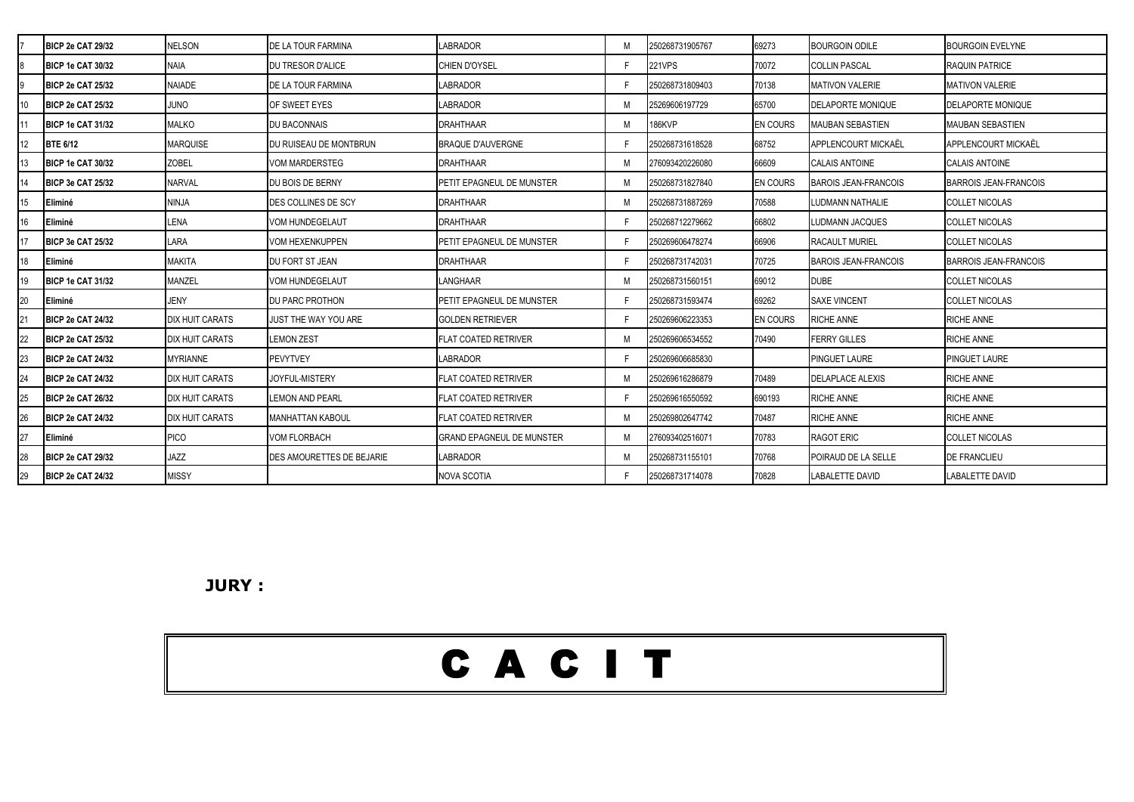|    | <b>BICP 2e CAT 29/32</b> | <b>NELSON</b>          | DE LA TOUR FARMINA               | LABRADOR                         |   | 250268731905767 | 69273           | <b>BOURGOIN ODILE</b>       | <b>BOURGOIN EVELYNE</b>      |
|----|--------------------------|------------------------|----------------------------------|----------------------------------|---|-----------------|-----------------|-----------------------------|------------------------------|
|    | BICP 1e CAT 30/32        | <b>NAIA</b>            | DU TRESOR D'ALICE                | <b>CHIEN D'OYSEL</b>             |   | <b>221VPS</b>   | 70072           | <b>COLLIN PASCAL</b>        | <b>RAQUIN PATRICE</b>        |
|    | BICP 2e CAT 25/32        | <b>NAIADE</b>          | DE LA TOUR FARMINA               | <b>LABRADOR</b>                  |   | 250268731809403 | 70138           | <b>MATIVON VALERIE</b>      | <b>MATIVON VALERIE</b>       |
|    | BICP 2e CAT 25/32        | ONUL                   | OF SWEET EYES                    | LABRADOR                         |   | 25269606197729  | 65700           | <b>DELAPORTE MONIQUE</b>    | <b>DELAPORTE MONIQUE</b>     |
|    | BICP 1e CAT 31/32        | <b>MALKO</b>           | DU BACONNAIS                     | <b>DRAHTHAAR</b>                 |   | 186KVP          | <b>EN COURS</b> | <b>MAUBAN SEBASTIEN</b>     | <b>MAUBAN SEBASTIEN</b>      |
|    | <b>BTE 6/12</b>          | <b>MARQUISE</b>        | DU RUISEAU DE MONTBRUN           | <b>BRAQUE D'AUVERGNE</b>         |   | 250268731618528 | 68752           | APPLENCOURT MICKAËL         | APPLENCOURT MICKAËL          |
|    | BICP 1e CAT 30/32        | <b>ZOBEL</b>           | <b>VOM MARDERSTEG</b>            | <b>DRAHTHAAR</b>                 |   | 276093420226080 | 66609           | <b>CALAIS ANTOINE</b>       | <b>CALAIS ANTOINE</b>        |
|    | BICP 3e CAT 25/32        | <b>NARVAL</b>          | DU BOIS DE BERNY                 | PETIT EPAGNEUL DE MUNSTER        | M | 250268731827840 | <b>EN COURS</b> | <b>BAROIS JEAN-FRANCOIS</b> | <b>BARROIS JEAN-FRANCOIS</b> |
|    | Eliminé                  | <b>NINJA</b>           | <b>DES COLLINES DE SCY</b>       | <b>DRAHTHAAR</b>                 |   | 250268731887269 | 70588           | LUDMANN NATHALIE            | <b>COLLET NICOLAS</b>        |
|    | Eliminé                  | <b>LENA</b>            | <b>VOM HUNDEGELAUT</b>           | DRAHTHAAR                        |   | 250268712279662 | 66802           | LUDMANN JACQUES             | <b>COLLET NICOLAS</b>        |
|    | BICP 3e CAT 25/32        | LARA                   | <b>VOM HEXENKUPPEN</b>           | PETIT EPAGNEUL DE MUNSTER        |   | 250269606478274 | 66906           | <b>RACAULT MURIEL</b>       | <b>COLLET NICOLAS</b>        |
|    | Eliminé                  | <b>MAKITA</b>          | DU FORT ST JEAN                  | <b>DRAHTHAAR</b>                 |   | 250268731742031 | 70725           | <b>BAROIS JEAN-FRANCOIS</b> | <b>BARROIS JEAN-FRANCOIS</b> |
|    | <b>BICP 1e CAT 31/32</b> | MANZEL                 | <b>VOM HUNDEGELAUT</b>           | LANGHAAR                         |   | 250268731560151 | 69012           | <b>DUBE</b>                 | <b>COLLET NICOLAS</b>        |
|    | Eliminé                  | <b>JENY</b>            | <b>DU PARC PROTHON</b>           | PETIT EPAGNEUL DE MUNSTER        |   | 250268731593474 | 69262           | <b>SAXE VINCENT</b>         | <b>COLLET NICOLAS</b>        |
|    | BICP 2e CAT 24/32        | <b>DIX HUIT CARATS</b> | JUST THE WAY YOU ARE             | <b>GOLDEN RETRIEVER</b>          |   | 250269606223353 | <b>EN COURS</b> | <b>RICHE ANNE</b>           | <b>RICHE ANNE</b>            |
|    | BICP 2e CAT 25/32        | <b>DIX HUIT CARATS</b> | <b>LEMON ZEST</b>                | <b>FLAT COATED RETRIVER</b>      |   | 250269606534552 | 70490           | <b>FERRY GILLES</b>         | <b>RICHE ANNE</b>            |
|    | BICP 2e CAT 24/32        | <b>MYRIANNE</b>        | <b>PEVYTVEY</b>                  | <b>LABRADOR</b>                  |   | 250269606685830 |                 | PINGUET LAURE               | <b>PINGUET LAURE</b>         |
|    | <b>BICP 2e CAT 24/32</b> | DIX HUIT CARATS        | <b>JOYFUL-MISTERY</b>            | FLAT COATED RETRIVER             |   | 250269616286879 | 70489           | <b>DELAPLACE ALEXIS</b>     | <b>RICHE ANNE</b>            |
|    | <b>BICP 2e CAT 26/32</b> | <b>DIX HUIT CARATS</b> | <b>LEMON AND PEARL</b>           | <b>FLAT COATED RETRIVER</b>      |   | 250269616550592 | 690193          | RICHE ANNE                  | <b>RICHE ANNE</b>            |
| 26 | BICP 2e CAT 24/32        | <b>DIX HUIT CARATS</b> | <b>MANHATTAN KABOUL</b>          | <b>FLAT COATED RETRIVER</b>      |   | 250269802647742 | 70487           | RICHE ANNE                  | <b>RICHE ANNE</b>            |
|    | Eliminé                  | <b>PICO</b>            | <b>VOM FLORBACH</b>              | <b>GRAND EPAGNEUL DE MUNSTER</b> |   | 276093402516071 | 70783           | RAGOT ERIC                  | <b>COLLET NICOLAS</b>        |
|    | <b>BICP 2e CAT 29/32</b> | <b>JAZZ</b>            | <b>DES AMOURETTES DE BEJARIE</b> | LABRADOR                         |   | 250268731155101 | 70768           | POIRAUD DE LA SELLE         | <b>DE FRANCLIEU</b>          |
|    | <b>BICP 2e CAT 24/32</b> | <b>MISSY</b>           |                                  | NOVA SCOTIA                      |   | 250268731714078 | 70828           | <b>LABALETTE DAVID</b>      | <b>LABALETTE DAVID</b>       |

**JURY :**

## C A C I T